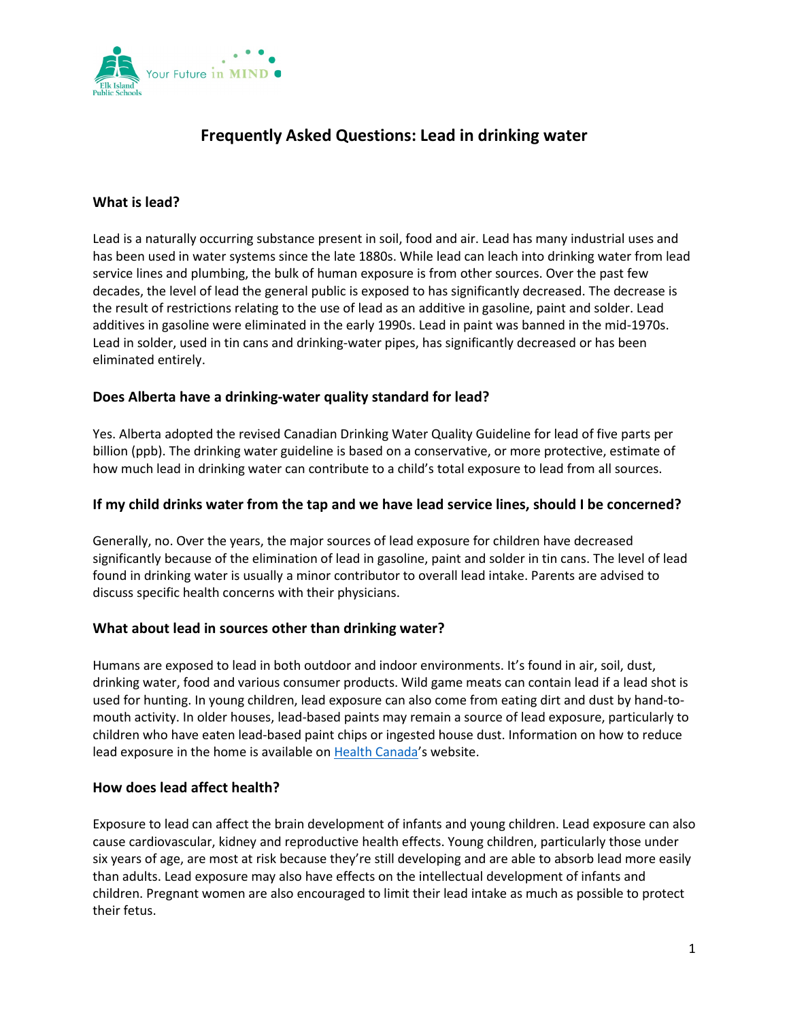

# **Frequently Asked Questions: Lead in drinking water**

# **What is lead?**

Lead is a naturally occurring substance present in soil, food and air. Lead has many industrial uses and has been used in water systems since the late 1880s. While lead can leach into drinking water from lead service lines and plumbing, the bulk of human exposure is from other sources. Over the past few decades, the level of lead the general public is exposed to has significantly decreased. The decrease is the result of restrictions relating to the use of lead as an additive in gasoline, paint and solder. Lead additives in gasoline were eliminated in the early 1990s. Lead in paint was banned in the mid-1970s. Lead in solder, used in tin cans and drinking-water pipes, has significantly decreased or has been eliminated entirely.

# **Does Alberta have a drinking-water quality standard for lead?**

Yes. Alberta adopted the revised Canadian Drinking Water Quality Guideline for lead of five parts per billion (ppb). The drinking water guideline is based on a conservative, or more protective, estimate of how much lead in drinking water can contribute to a child's total exposure to lead from all sources.

## **If my child drinks water from the tap and we have lead service lines, should I be concerned?**

Generally, no. Over the years, the major sources of lead exposure for children have decreased significantly because of the elimination of lead in gasoline, paint and solder in tin cans. The level of lead found in drinking water is usually a minor contributor to overall lead intake. Parents are advised to discuss specific health concerns with their physicians.

#### **What about lead in sources other than drinking water?**

Humans are exposed to lead in both outdoor and indoor environments. It's found in air, soil, dust, drinking water, food and various consumer products. Wild game meats can contain lead if a lead shot is used for hunting. In young children, lead exposure can also come from eating dirt and dust by hand-tomouth activity. In older houses, lead-based paints may remain a source of lead exposure, particularly to children who have eaten lead-based paint chips or ingested house dust. Information on how to reduce lead exposure in the home is available on [Health Canada'](https://www.canada.ca/en/health-canada/services/environmental-workplace-health/environmental-contaminants/lead/lead-information-package-some-commonly-asked-questions-about-lead-human-health.html)s website.

#### **How does lead affect health?**

Exposure to lead can affect the brain development of infants and young children. Lead exposure can also cause cardiovascular, kidney and reproductive health effects. Young children, particularly those under six years of age, are most at risk because they're still developing and are able to absorb lead more easily than adults. Lead exposure may also have effects on the intellectual development of infants and children. Pregnant women are also encouraged to limit their lead intake as much as possible to protect their fetus.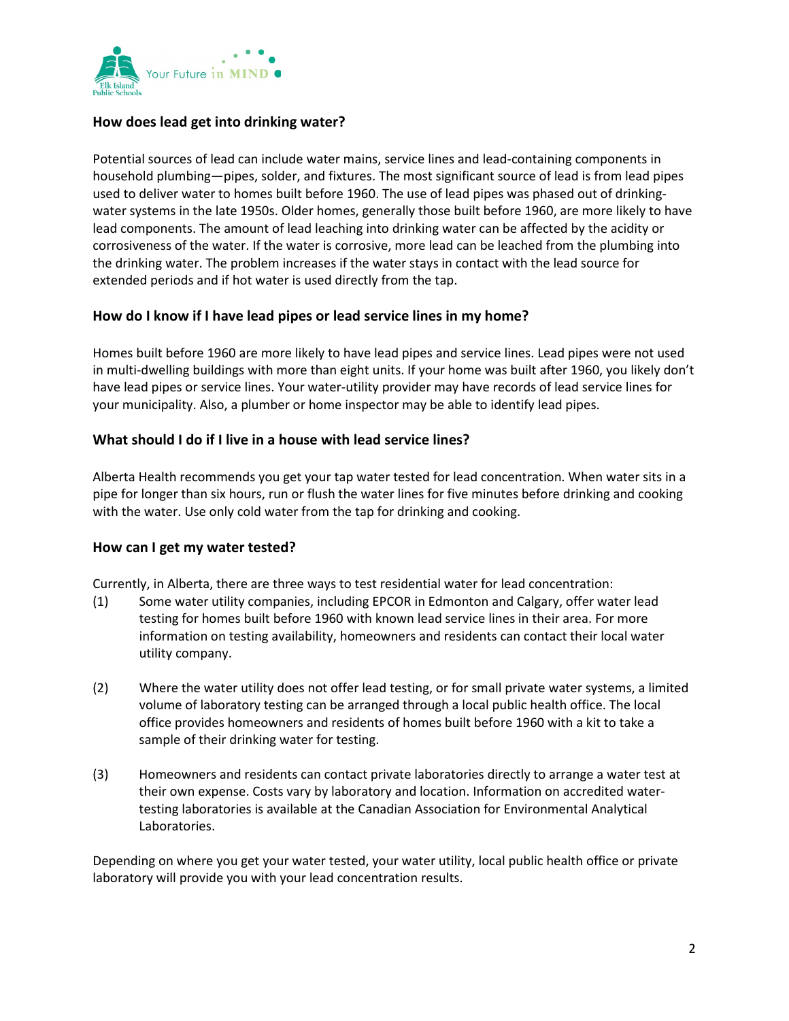

# **How does lead get into drinking water?**

Potential sources of lead can include water mains, service lines and lead-containing components in household plumbing—pipes, solder, and fixtures. The most significant source of lead is from lead pipes used to deliver water to homes built before 1960. The use of lead pipes was phased out of drinkingwater systems in the late 1950s. Older homes, generally those built before 1960, are more likely to have lead components. The amount of lead leaching into drinking water can be affected by the acidity or corrosiveness of the water. If the water is corrosive, more lead can be leached from the plumbing into the drinking water. The problem increases if the water stays in contact with the lead source for extended periods and if hot water is used directly from the tap.

## **How do I know if I have lead pipes or lead service lines in my home?**

Homes built before 1960 are more likely to have lead pipes and service lines. Lead pipes were not used in multi-dwelling buildings with more than eight units. If your home was built after 1960, you likely don't have lead pipes or service lines. Your water-utility provider may have records of lead service lines for your municipality. Also, a plumber or home inspector may be able to identify lead pipes.

## **What should I do if I live in a house with lead service lines?**

Alberta Health recommends you get your tap water tested for lead concentration. When water sits in a pipe for longer than six hours, run or flush the water lines for five minutes before drinking and cooking with the water. Use only cold water from the tap for drinking and cooking.

#### **How can I get my water tested?**

Currently, in Alberta, there are three ways to test residential water for lead concentration:

- (1) Some water utility companies, including EPCOR in Edmonton and Calgary, offer water lead testing for homes built before 1960 with known lead service lines in their area. For more information on testing availability, homeowners and residents can contact their local water utility company.
- (2) Where the water utility does not offer lead testing, or for small private water systems, a limited volume of laboratory testing can be arranged through a local public health office. The local office provides homeowners and residents of homes built before 1960 with a kit to take a sample of their drinking water for testing.
- (3) Homeowners and residents can contact private laboratories directly to arrange a water test at their own expense. Costs vary by laboratory and location. Information on accredited watertesting laboratories is available at the Canadian Association for Environmental Analytical Laboratories.

Depending on where you get your water tested, your water utility, local public health office or private laboratory will provide you with your lead concentration results.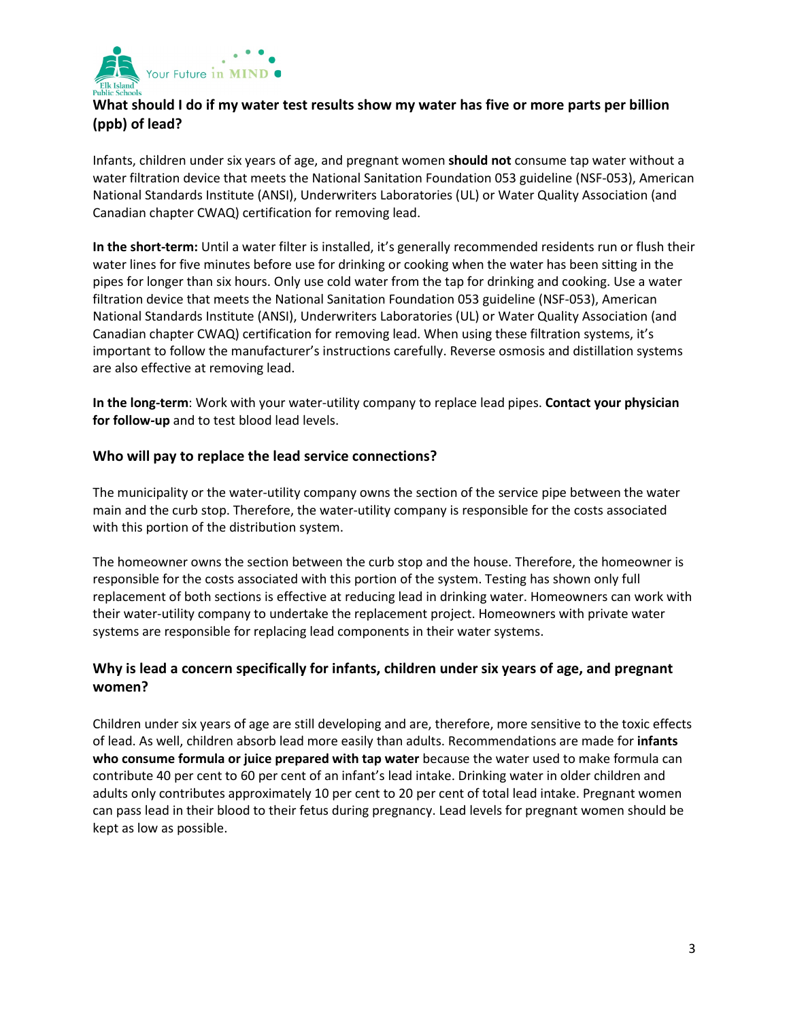

# **What should I do if my water test results show my water has five or more parts per billion (ppb) of lead?**

Infants, children under six years of age, and pregnant women **should not** consume tap water without a water filtration device that meets the National Sanitation Foundation 053 guideline (NSF-053), American National Standards Institute (ANSI), Underwriters Laboratories (UL) or Water Quality Association (and Canadian chapter CWAQ) certification for removing lead.

**In the short-term:** Until a water filter is installed, it's generally recommended residents run or flush their water lines for five minutes before use for drinking or cooking when the water has been sitting in the pipes for longer than six hours. Only use cold water from the tap for drinking and cooking. Use a water filtration device that meets the National Sanitation Foundation 053 guideline (NSF-053), American National Standards Institute (ANSI), Underwriters Laboratories (UL) or Water Quality Association (and Canadian chapter CWAQ) certification for removing lead. When using these filtration systems, it's important to follow the manufacturer's instructions carefully. Reverse osmosis and distillation systems are also effective at removing lead.

**In the long-term**: Work with your water-utility company to replace lead pipes. **Contact your physician for follow-up** and to test blood lead levels.

## **Who will pay to replace the lead service connections?**

The municipality or the water-utility company owns the section of the service pipe between the water main and the curb stop. Therefore, the water-utility company is responsible for the costs associated with this portion of the distribution system.

The homeowner owns the section between the curb stop and the house. Therefore, the homeowner is responsible for the costs associated with this portion of the system. Testing has shown only full replacement of both sections is effective at reducing lead in drinking water. Homeowners can work with their water-utility company to undertake the replacement project. Homeowners with private water systems are responsible for replacing lead components in their water systems.

# **Why is lead a concern specifically for infants, children under six years of age, and pregnant women?**

Children under six years of age are still developing and are, therefore, more sensitive to the toxic effects of lead. As well, children absorb lead more easily than adults. Recommendations are made for **infants who consume formula or juice prepared with tap water** because the water used to make formula can contribute 40 per cent to 60 per cent of an infant's lead intake. Drinking water in older children and adults only contributes approximately 10 per cent to 20 per cent of total lead intake. Pregnant women can pass lead in their blood to their fetus during pregnancy. Lead levels for pregnant women should be kept as low as possible.